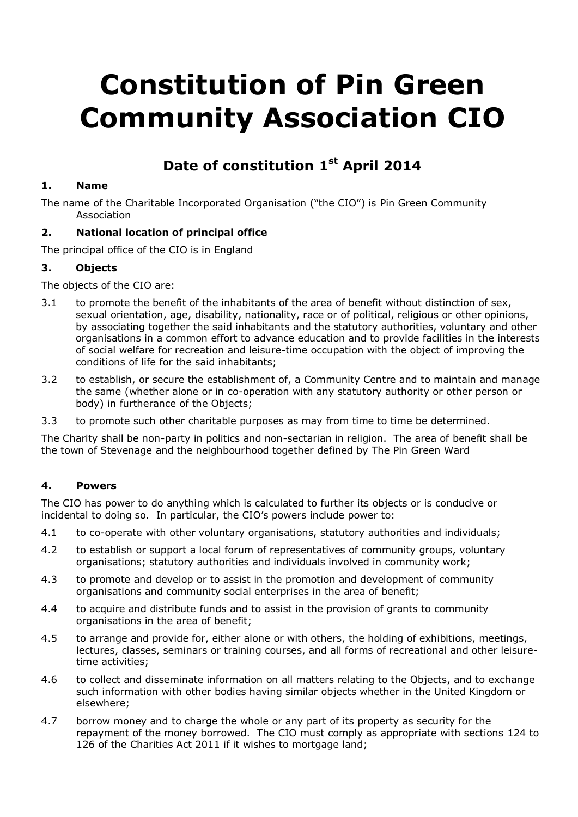# **Constitution of Pin Green Community Association CIO**

# **Date of constitution 1 st April 2014**

# **1. Name**

The name of the Charitable Incorporated Organisation ("the CIO") is Pin Green Community Association

# **2. National location of principal office**

The principal office of the CIO is in England

# **3. Objects**

The objects of the CIO are:

- 3.1 to promote the benefit of the inhabitants of the area of benefit without distinction of sex, sexual orientation, age, disability, nationality, race or of political, religious or other opinions, by associating together the said inhabitants and the statutory authorities, voluntary and other organisations in a common effort to advance education and to provide facilities in the interests of social welfare for recreation and leisure-time occupation with the object of improving the conditions of life for the said inhabitants;
- 3.2 to establish, or secure the establishment of, a Community Centre and to maintain and manage the same (whether alone or in co-operation with any statutory authority or other person or body) in furtherance of the Objects;
- 3.3 to promote such other charitable purposes as may from time to time be determined.

The Charity shall be non-party in politics and non-sectarian in religion. The area of benefit shall be the town of Stevenage and the neighbourhood together defined by The Pin Green Ward

# **4. Powers**

The CIO has power to do anything which is calculated to further its objects or is conducive or incidental to doing so. In particular, the CIO's powers include power to:

- 4.1 to co-operate with other voluntary organisations, statutory authorities and individuals;
- 4.2 to establish or support a local forum of representatives of community groups, voluntary organisations; statutory authorities and individuals involved in community work;
- 4.3 to promote and develop or to assist in the promotion and development of community organisations and community social enterprises in the area of benefit;
- 4.4 to acquire and distribute funds and to assist in the provision of grants to community organisations in the area of benefit;
- 4.5 to arrange and provide for, either alone or with others, the holding of exhibitions, meetings, lectures, classes, seminars or training courses, and all forms of recreational and other leisuretime activities;
- 4.6 to collect and disseminate information on all matters relating to the Objects, and to exchange such information with other bodies having similar objects whether in the United Kingdom or elsewhere;
- 4.7 borrow money and to charge the whole or any part of its property as security for the repayment of the money borrowed. The CIO must comply as appropriate with sections 124 to 126 of the Charities Act 2011 if it wishes to mortgage land;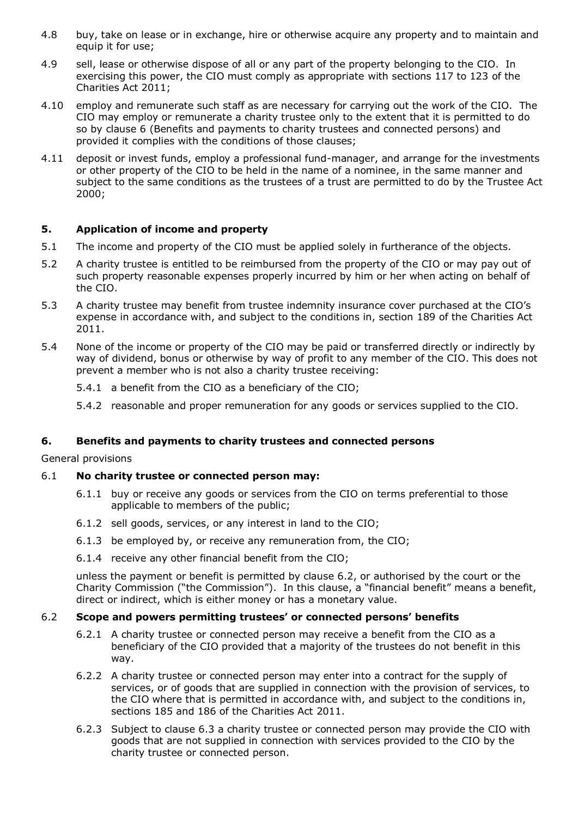- 4.8 buy, take on lease or in exchange, hire or otherwise acquire any property and to maintain and equip it for use;
- 4.9 sell, lease or otherwise dispose of all or any part of the property belonging to the CIO. In exercising this power, the CIO must comply as appropriate with sections 117 to 123 of the Charities Act 2011;
- 4.10 employ and remunerate such staff as are necessary for carrying out the work of the CIO. The CIO may employ or remunerate a charity trustee only to the extent that it is permitted to do so by clause 6 (Benefits and payments to charity trustees and connected persons) and provided it complies with the conditions of those clauses;
- 4.11 deposit or invest funds, employ a professional fund-manager, and arrange for the investments or other property of the CIO to be held in the name of a nominee, in the same manner and subject to the same conditions as the trustees of a trust are permitted to do by the Trustee Act 2000;

#### **5. Application of income and property**

- 5.1 The income and property of the CIO must be applied solely in furtherance of the objects.
- 5.2 A charity trustee is entitled to be reimbursed from the property of the CIO or may pay out of such property reasonable expenses properly incurred by him or her when acting on behalf of the CIO.
- 5.3 A charity trustee may benefit from trustee indemnity insurance cover purchased at the CIO's expense in accordance with, and subject to the conditions in, section 189 of the Charities Act 2011.
- 5.4 None of the income or property of the CIO may be paid or transferred directly or indirectly by way of dividend, bonus or otherwise by way of profit to any member of the CIO. This does not prevent a member who is not also a charity trustee receiving:
	- 5.4.1 a benefit from the CIO as a beneficiary of the CIO;
	- 5.4.2 reasonable and proper remuneration for any goods or services supplied to the CIO.

#### **6. Benefits and payments to charity trustees and connected persons**

General provisions

#### 6.1 **No charity trustee or connected person may:**

- 6.1.1 buy or receive any goods or services from the CIO on terms preferential to those applicable to members of the public;
- 6.1.2 sell goods, services, or any interest in land to the CIO;
- 6.1.3 be employed by, or receive any remuneration from, the CIO;
- 6.1.4 receive any other financial benefit from the CIO;

unless the payment or benefit is permitted by clause 6.2, or authorised by the court or the Charity Commission ("the Commission"). In this clause, a "financial benefit" means a benefit, direct or indirect, which is either money or has a monetary value.

#### 6.2 **Scope and powers permitting trustees' or connected persons' benefits**

- 6.2.1 A charity trustee or connected person may receive a benefit from the CIO as a beneficiary of the CIO provided that a majority of the trustees do not benefit in this way.
- 6.2.2 A charity trustee or connected person may enter into a contract for the supply of services, or of goods that are supplied in connection with the provision of services, to the CIO where that is permitted in accordance with, and subject to the conditions in, sections 185 and 186 of the Charities Act 2011.
- 6.2.3 Subject to clause 6.3 a charity trustee or connected person may provide the CIO with goods that are not supplied in connection with services provided to the CIO by the charity trustee or connected person.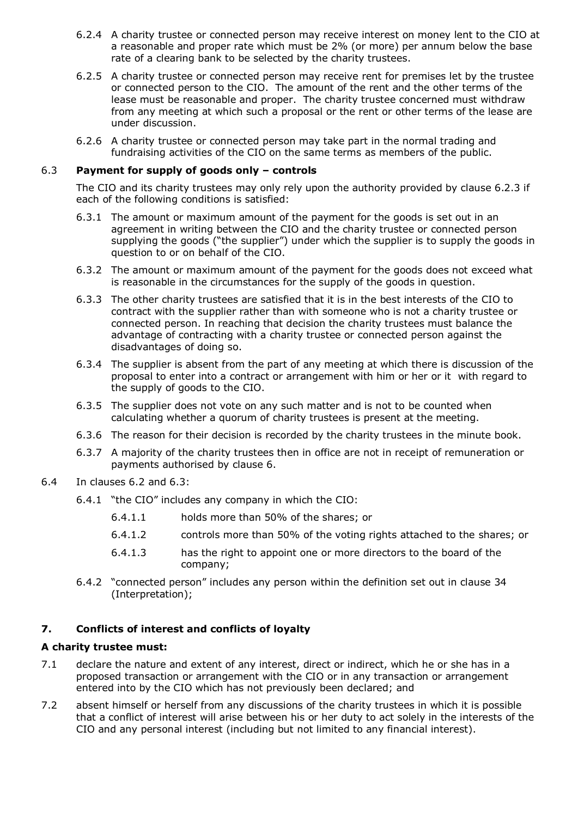- 6.2.4 A charity trustee or connected person may receive interest on money lent to the CIO at a reasonable and proper rate which must be 2% (or more) per annum below the base rate of a clearing bank to be selected by the charity trustees.
- 6.2.5 A charity trustee or connected person may receive rent for premises let by the trustee or connected person to the CIO. The amount of the rent and the other terms of the lease must be reasonable and proper. The charity trustee concerned must withdraw from any meeting at which such a proposal or the rent or other terms of the lease are under discussion.
- 6.2.6 A charity trustee or connected person may take part in the normal trading and fundraising activities of the CIO on the same terms as members of the public.

#### 6.3 **Payment for supply of goods only – controls**

The CIO and its charity trustees may only rely upon the authority provided by clause 6.2.3 if each of the following conditions is satisfied:

- 6.3.1 The amount or maximum amount of the payment for the goods is set out in an agreement in writing between the CIO and the charity trustee or connected person supplying the goods ("the supplier") under which the supplier is to supply the goods in question to or on behalf of the CIO.
- 6.3.2 The amount or maximum amount of the payment for the goods does not exceed what is reasonable in the circumstances for the supply of the goods in question.
- 6.3.3 The other charity trustees are satisfied that it is in the best interests of the CIO to contract with the supplier rather than with someone who is not a charity trustee or connected person. In reaching that decision the charity trustees must balance the advantage of contracting with a charity trustee or connected person against the disadvantages of doing so.
- 6.3.4 The supplier is absent from the part of any meeting at which there is discussion of the proposal to enter into a contract or arrangement with him or her or it with regard to the supply of goods to the CIO.
- 6.3.5 The supplier does not vote on any such matter and is not to be counted when calculating whether a quorum of charity trustees is present at the meeting.
- 6.3.6 The reason for their decision is recorded by the charity trustees in the minute book.
- 6.3.7 A majority of the charity trustees then in office are not in receipt of remuneration or payments authorised by clause 6.
- 6.4 In clauses 6.2 and 6.3:
	- 6.4.1 "the CIO" includes any company in which the CIO:
		- 6.4.1.1 holds more than 50% of the shares; or
		- 6.4.1.2 controls more than 50% of the voting rights attached to the shares; or
		- 6.4.1.3 has the right to appoint one or more directors to the board of the company;
	- 6.4.2 "connected person" includes any person within the definition set out in clause 34 (Interpretation);

# **7. Conflicts of interest and conflicts of loyalty**

# **A charity trustee must:**

- 7.1 declare the nature and extent of any interest, direct or indirect, which he or she has in a proposed transaction or arrangement with the CIO or in any transaction or arrangement entered into by the CIO which has not previously been declared; and
- 7.2 absent himself or herself from any discussions of the charity trustees in which it is possible that a conflict of interest will arise between his or her duty to act solely in the interests of the CIO and any personal interest (including but not limited to any financial interest).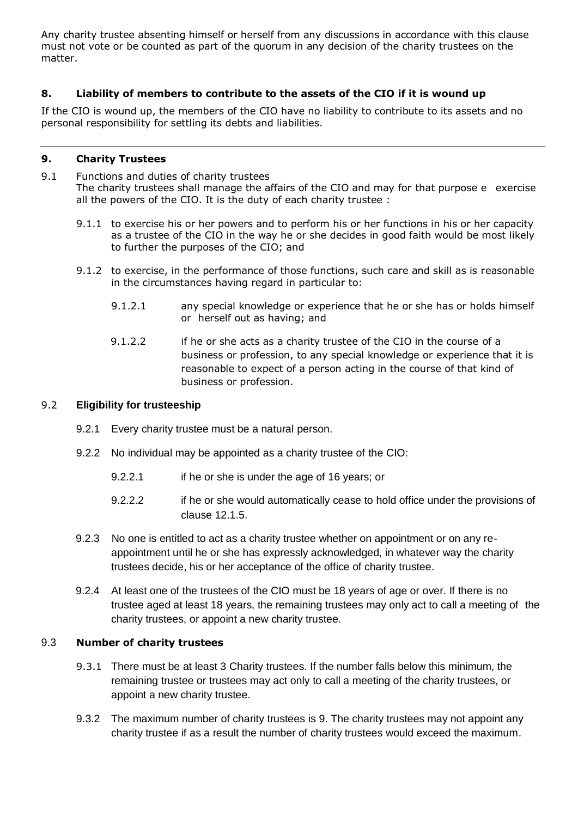Any charity trustee absenting himself or herself from any discussions in accordance with this clause must not vote or be counted as part of the quorum in any decision of the charity trustees on the matter.

# **8. Liability of members to contribute to the assets of the CIO if it is wound up**

If the CIO is wound up, the members of the CIO have no liability to contribute to its assets and no personal responsibility for settling its debts and liabilities.

## **9. Charity Trustees**

9.1 Functions and duties of charity trustees The charity trustees shall manage the affairs of the CIO and may for that purpose e exercise all the powers of the CIO. It is the duty of each charity trustee :

- 9.1.1 to exercise his or her powers and to perform his or her functions in his or her capacity as a trustee of the CIO in the way he or she decides in good faith would be most likely to further the purposes of the CIO; and
- 9.1.2 to exercise, in the performance of those functions, such care and skill as is reasonable in the circumstances having regard in particular to:
	- 9.1.2.1 any special knowledge or experience that he or she has or holds himself or herself out as having; and
	- 9.1.2.2 if he or she acts as a charity trustee of the CIO in the course of a business or profession, to any special knowledge or experience that it is reasonable to expect of a person acting in the course of that kind of business or profession.

#### 9.2 **Eligibility for trusteeship**

- 9.2.1 Every charity trustee must be a natural person.
- 9.2.2 No individual may be appointed as a charity trustee of the CIO:
	- 9.2.2.1 if he or she is under the age of 16 years; or
	- 9.2.2.2 if he or she would automatically cease to hold office under the provisions of clause 12.1.5.
- 9.2.3 No one is entitled to act as a charity trustee whether on appointment or on any reappointment until he or she has expressly acknowledged, in whatever way the charity trustees decide, his or her acceptance of the office of charity trustee.
- 9.2.4 At least one of the trustees of the CIO must be 18 years of age or over. If there is no trustee aged at least 18 years, the remaining trustees may only act to call a meeting of the charity trustees, or appoint a new charity trustee.

# 9.3 **Number of charity trustees**

- 9.3.1 There must be at least 3 Charity trustees. If the number falls below this minimum, the remaining trustee or trustees may act only to call a meeting of the charity trustees, or appoint a new charity trustee.
- 9.3.2 The maximum number of charity trustees is 9. The charity trustees may not appoint any charity trustee if as a result the number of charity trustees would exceed the maximum.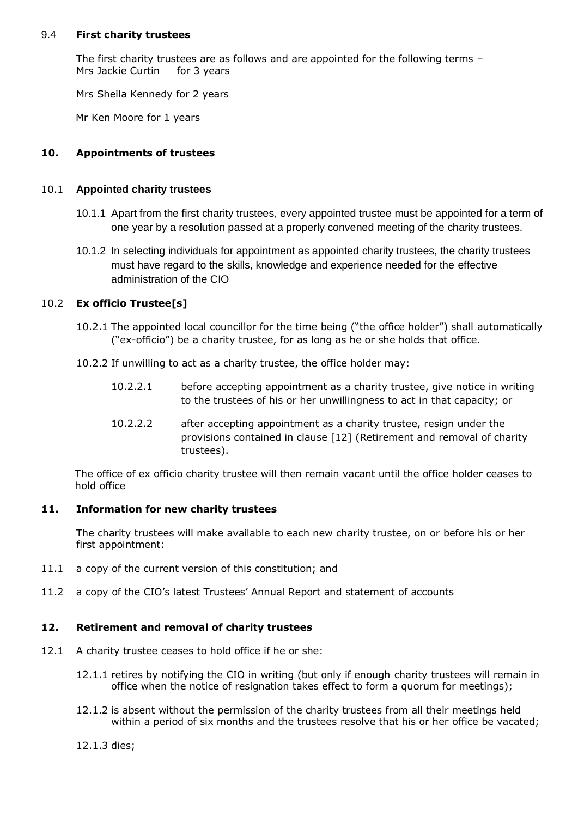#### 9.4 **First charity trustees**

The first charity trustees are as follows and are appointed for the following terms – Mrs Jackie Curtin for 3 years

Mrs Sheila Kennedy for 2 years

Mr Ken Moore for 1 years

# **10. Appointments of trustees**

#### 10.1 **Appointed charity trustees**

- 10.1.1 Apart from the first charity trustees, every appointed trustee must be appointed for a term of one year by a resolution passed at a properly convened meeting of the charity trustees.
- 10.1.2 In selecting individuals for appointment as appointed charity trustees, the charity trustees must have regard to the skills, knowledge and experience needed for the effective administration of the CIO

# 10.2 **Ex officio Trustee[s]**

- 10.2.1 The appointed local councillor for the time being ("the office holder") shall automatically ("ex-officio") be a charity trustee, for as long as he or she holds that office.
- 10.2.2 If unwilling to act as a charity trustee, the office holder may:
	- 10.2.2.1 before accepting appointment as a charity trustee, give notice in writing to the trustees of his or her unwillingness to act in that capacity; or
	- 10.2.2.2 after accepting appointment as a charity trustee, resign under the provisions contained in clause [12] (Retirement and removal of charity trustees).

The office of ex officio charity trustee will then remain vacant until the office holder ceases to hold office

# **11. Information for new charity trustees**

The charity trustees will make available to each new charity trustee, on or before his or her first appointment:

- 11.1 a copy of the current version of this constitution; and
- 11.2 a copy of the CIO's latest Trustees' Annual Report and statement of accounts

# **12. Retirement and removal of charity trustees**

- 12.1 A charity trustee ceases to hold office if he or she:
	- 12.1.1 retires by notifying the CIO in writing (but only if enough charity trustees will remain in office when the notice of resignation takes effect to form a quorum for meetings);
	- 12.1.2 is absent without the permission of the charity trustees from all their meetings held within a period of six months and the trustees resolve that his or her office be vacated;
	- 12.1.3 dies;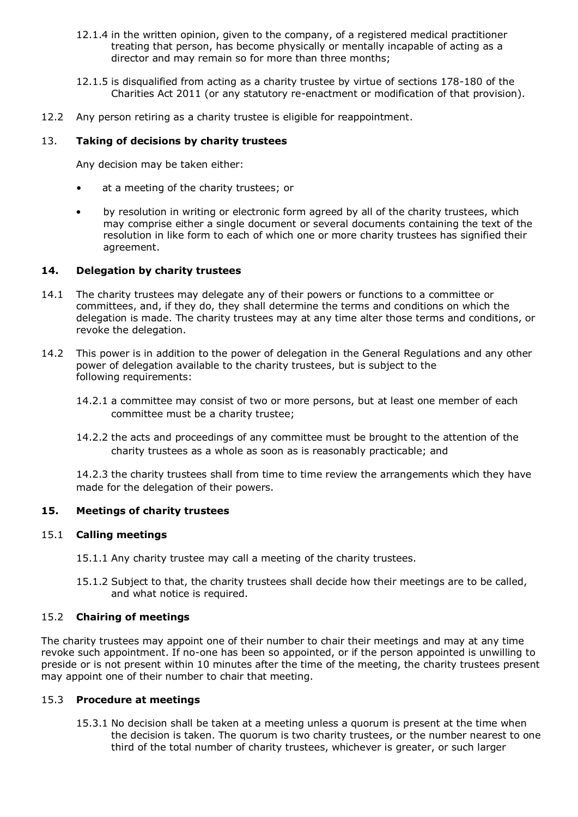- 12.1.4 in the written opinion, given to the company, of a registered medical practitioner treating that person, has become physically or mentally incapable of acting as a director and may remain so for more than three months;
- 12.1.5 is disqualified from acting as a charity trustee by virtue of sections 178-180 of the Charities Act 2011 (or any statutory re-enactment or modification of that provision).
- 12.2 Any person retiring as a charity trustee is eligible for reappointment.

## 13. **Taking of decisions by charity trustees**

Any decision may be taken either:

- at a meeting of the charity trustees; or
- by resolution in writing or electronic form agreed by all of the charity trustees, which may comprise either a single document or several documents containing the text of the resolution in like form to each of which one or more charity trustees has signified their agreement.

#### **14. Delegation by charity trustees**

- 14.1 The charity trustees may delegate any of their powers or functions to a committee or committees, and, if they do, they shall determine the terms and conditions on which the delegation is made. The charity trustees may at any time alter those terms and conditions, or revoke the delegation.
- 14.2 This power is in addition to the power of delegation in the General Regulations and any other power of delegation available to the charity trustees, but is subject to the following requirements:
	- 14.2.1 a committee may consist of two or more persons, but at least one member of each committee must be a charity trustee;
	- 14.2.2 the acts and proceedings of any committee must be brought to the attention of the charity trustees as a whole as soon as is reasonably practicable; and

14.2.3 the charity trustees shall from time to time review the arrangements which they have made for the delegation of their powers.

#### **15. Meetings of charity trustees**

#### 15.1 **Calling meetings**

15.1.1 Any charity trustee may call a meeting of the charity trustees.

15.1.2 Subject to that, the charity trustees shall decide how their meetings are to be called, and what notice is required.

#### 15.2 **Chairing of meetings**

The charity trustees may appoint one of their number to chair their meetings and may at any time revoke such appointment. If no-one has been so appointed, or if the person appointed is unwilling to preside or is not present within 10 minutes after the time of the meeting, the charity trustees present may appoint one of their number to chair that meeting.

#### 15.3 **Procedure at meetings**

15.3.1 No decision shall be taken at a meeting unless a quorum is present at the time when the decision is taken. The quorum is two charity trustees, or the number nearest to one third of the total number of charity trustees, whichever is greater, or such larger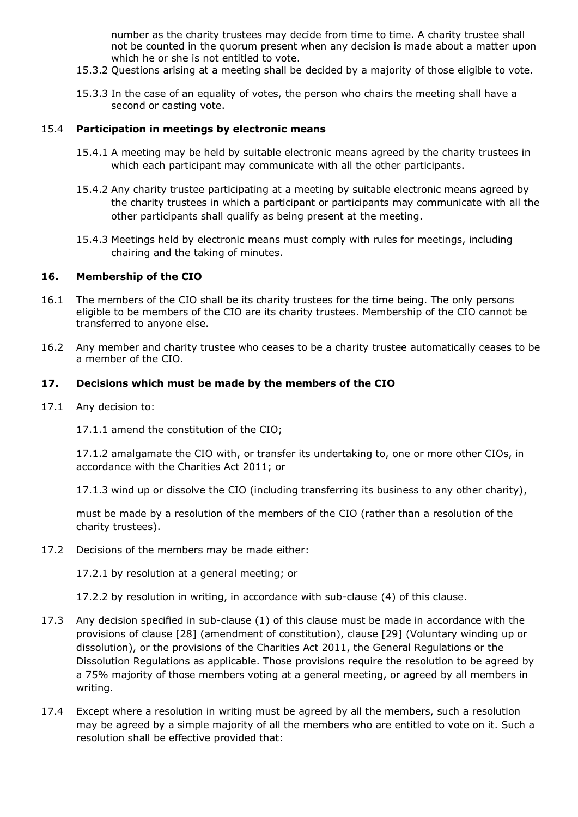number as the charity trustees may decide from time to time. A charity trustee shall not be counted in the quorum present when any decision is made about a matter upon which he or she is not entitled to vote.

- 15.3.2 Questions arising at a meeting shall be decided by a majority of those eligible to vote.
- 15.3.3 In the case of an equality of votes, the person who chairs the meeting shall have a second or casting vote.

#### 15.4 **Participation in meetings by electronic means**

- 15.4.1 A meeting may be held by suitable electronic means agreed by the charity trustees in which each participant may communicate with all the other participants.
- 15.4.2 Any charity trustee participating at a meeting by suitable electronic means agreed by the charity trustees in which a participant or participants may communicate with all the other participants shall qualify as being present at the meeting.
- 15.4.3 Meetings held by electronic means must comply with rules for meetings, including chairing and the taking of minutes.

#### **16. Membership of the CIO**

- 16.1 The members of the CIO shall be its charity trustees for the time being. The only persons eligible to be members of the CIO are its charity trustees. Membership of the CIO cannot be transferred to anyone else.
- 16.2 Any member and charity trustee who ceases to be a charity trustee automatically ceases to be a member of the CIO.

#### **17. Decisions which must be made by the members of the CIO**

17.1 Any decision to:

17.1.1 amend the constitution of the CIO;

17.1.2 amalgamate the CIO with, or transfer its undertaking to, one or more other CIOs, in accordance with the Charities Act 2011; or

17.1.3 wind up or dissolve the CIO (including transferring its business to any other charity),

must be made by a resolution of the members of the CIO (rather than a resolution of the charity trustees).

17.2 Decisions of the members may be made either:

17.2.1 by resolution at a general meeting; or

17.2.2 by resolution in writing, in accordance with sub-clause (4) of this clause.

- 17.3 Any decision specified in sub-clause (1) of this clause must be made in accordance with the provisions of clause [28] (amendment of constitution), clause [29] (Voluntary winding up or dissolution), or the provisions of the Charities Act 2011, the General Regulations or the Dissolution Regulations as applicable. Those provisions require the resolution to be agreed by a 75% majority of those members voting at a general meeting, or agreed by all members in writing.
- 17.4 Except where a resolution in writing must be agreed by all the members, such a resolution may be agreed by a simple majority of all the members who are entitled to vote on it. Such a resolution shall be effective provided that: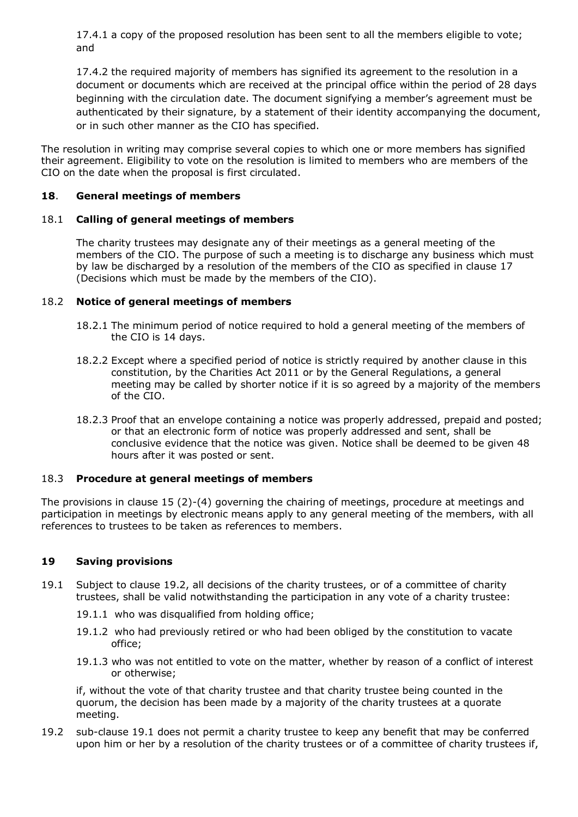17.4.1 a copy of the proposed resolution has been sent to all the members eligible to vote; and

17.4.2 the required majority of members has signified its agreement to the resolution in a document or documents which are received at the principal office within the period of 28 days beginning with the circulation date. The document signifying a member's agreement must be authenticated by their signature, by a statement of their identity accompanying the document, or in such other manner as the CIO has specified.

The resolution in writing may comprise several copies to which one or more members has signified their agreement. Eligibility to vote on the resolution is limited to members who are members of the CIO on the date when the proposal is first circulated.

# **18**. **General meetings of members**

# 18.1 **Calling of general meetings of members**

The charity trustees may designate any of their meetings as a general meeting of the members of the CIO. The purpose of such a meeting is to discharge any business which must by law be discharged by a resolution of the members of the CIO as specified in clause 17 (Decisions which must be made by the members of the CIO).

#### 18.2 **Notice of general meetings of members**

- 18.2.1 The minimum period of notice required to hold a general meeting of the members of the CIO is 14 days.
- 18.2.2 Except where a specified period of notice is strictly required by another clause in this constitution, by the Charities Act 2011 or by the General Regulations, a general meeting may be called by shorter notice if it is so agreed by a majority of the members of the CIO.
- 18.2.3 Proof that an envelope containing a notice was properly addressed, prepaid and posted; or that an electronic form of notice was properly addressed and sent, shall be conclusive evidence that the notice was given. Notice shall be deemed to be given 48 hours after it was posted or sent.

# 18.3 **Procedure at general meetings of members**

The provisions in clause 15 (2)-(4) governing the chairing of meetings, procedure at meetings and participation in meetings by electronic means apply to any general meeting of the members, with all references to trustees to be taken as references to members.

# **19 Saving provisions**

- 19.1 Subject to clause 19.2, all decisions of the charity trustees, or of a committee of charity trustees, shall be valid notwithstanding the participation in any vote of a charity trustee:
	- 19.1.1 who was disqualified from holding office;
	- 19.1.2 who had previously retired or who had been obliged by the constitution to vacate office;
	- 19.1.3 who was not entitled to vote on the matter, whether by reason of a conflict of interest or otherwise;

if, without the vote of that charity trustee and that charity trustee being counted in the quorum, the decision has been made by a majority of the charity trustees at a quorate meeting.

19.2 sub-clause 19.1 does not permit a charity trustee to keep any benefit that may be conferred upon him or her by a resolution of the charity trustees or of a committee of charity trustees if,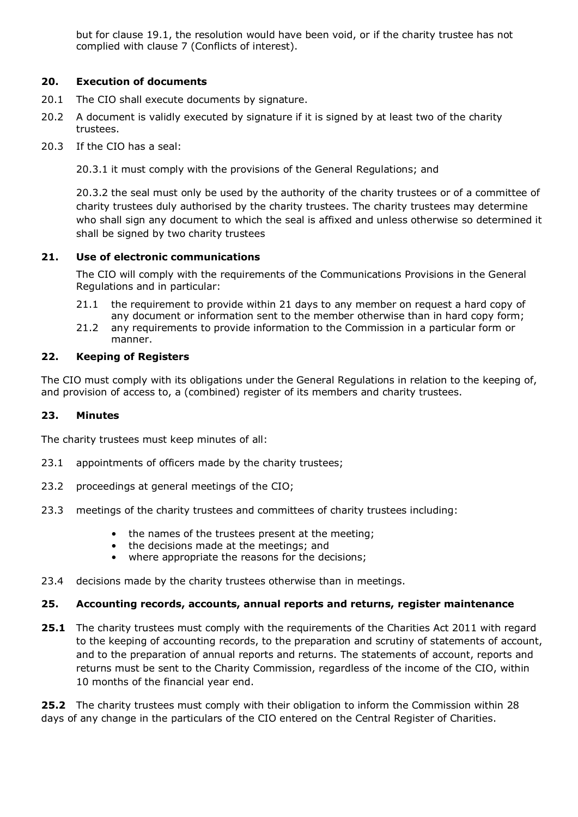but for clause 19.1, the resolution would have been void, or if the charity trustee has not complied with clause 7 (Conflicts of interest).

# **20. Execution of documents**

- 20.1 The CIO shall execute documents by signature.
- 20.2 A document is validly executed by signature if it is signed by at least two of the charity trustees.
- 20.3 If the CIO has a seal:

20.3.1 it must comply with the provisions of the General Regulations; and

20.3.2 the seal must only be used by the authority of the charity trustees or of a committee of charity trustees duly authorised by the charity trustees. The charity trustees may determine who shall sign any document to which the seal is affixed and unless otherwise so determined it shall be signed by two charity trustees

#### **21. Use of electronic communications**

The CIO will comply with the requirements of the Communications Provisions in the General Regulations and in particular:

- 21.1 the requirement to provide within 21 days to any member on request a hard copy of any document or information sent to the member otherwise than in hard copy form;
- 21.2 any requirements to provide information to the Commission in a particular form or manner.

#### **22. Keeping of Registers**

The CIO must comply with its obligations under the General Regulations in relation to the keeping of, and provision of access to, a (combined) register of its members and charity trustees.

# **23. Minutes**

The charity trustees must keep minutes of all:

- 23.1 appointments of officers made by the charity trustees;
- 23.2 proceedings at general meetings of the CIO;
- 23.3 meetings of the charity trustees and committees of charity trustees including:
	- the names of the trustees present at the meeting;
	- the decisions made at the meetings; and
	- where appropriate the reasons for the decisions;
- 23.4 decisions made by the charity trustees otherwise than in meetings.

#### **25. Accounting records, accounts, annual reports and returns, register maintenance**

**25.1** The charity trustees must comply with the requirements of the Charities Act 2011 with regard to the keeping of accounting records, to the preparation and scrutiny of statements of account, and to the preparation of annual reports and returns. The statements of account, reports and returns must be sent to the Charity Commission, regardless of the income of the CIO, within 10 months of the financial year end.

**25.2** The charity trustees must comply with their obligation to inform the Commission within 28 days of any change in the particulars of the CIO entered on the Central Register of Charities.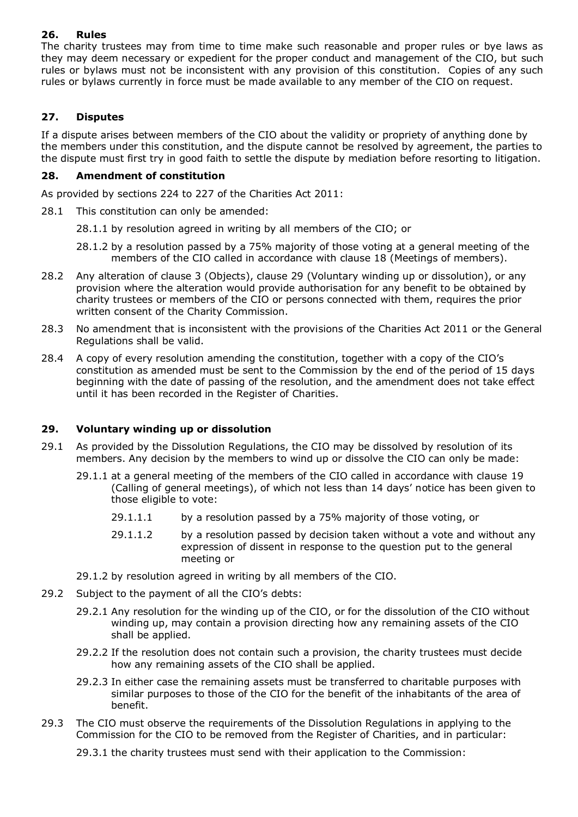# **26. Rules**

The charity trustees may from time to time make such reasonable and proper rules or bye laws as they may deem necessary or expedient for the proper conduct and management of the CIO, but such rules or bylaws must not be inconsistent with any provision of this constitution. Copies of any such rules or bylaws currently in force must be made available to any member of the CIO on request.

# **27. Disputes**

If a dispute arises between members of the CIO about the validity or propriety of anything done by the members under this constitution, and the dispute cannot be resolved by agreement, the parties to the dispute must first try in good faith to settle the dispute by mediation before resorting to litigation.

# **28. Amendment of constitution**

As provided by sections 224 to 227 of the Charities Act 2011:

- 28.1 This constitution can only be amended:
	- 28.1.1 by resolution agreed in writing by all members of the CIO; or
	- 28.1.2 by a resolution passed by a 75% majority of those voting at a general meeting of the members of the CIO called in accordance with clause 18 (Meetings of members).
- 28.2 Any alteration of clause 3 (Objects), clause 29 (Voluntary winding up or dissolution), or any provision where the alteration would provide authorisation for any benefit to be obtained by charity trustees or members of the CIO or persons connected with them, requires the prior written consent of the Charity Commission.
- 28.3 No amendment that is inconsistent with the provisions of the Charities Act 2011 or the General Regulations shall be valid.
- 28.4 A copy of every resolution amending the constitution, together with a copy of the CIO's constitution as amended must be sent to the Commission by the end of the period of 15 days beginning with the date of passing of the resolution, and the amendment does not take effect until it has been recorded in the Register of Charities.

# **29. Voluntary winding up or dissolution**

- 29.1 As provided by the Dissolution Regulations, the CIO may be dissolved by resolution of its members. Any decision by the members to wind up or dissolve the CIO can only be made:
	- 29.1.1 at a general meeting of the members of the CIO called in accordance with clause 19 (Calling of general meetings), of which not less than 14 days' notice has been given to those eligible to vote:
		- 29.1.1.1 by a resolution passed by a 75% majority of those voting, or
		- 29.1.1.2 by a resolution passed by decision taken without a vote and without any expression of dissent in response to the question put to the general meeting or
	- 29.1.2 by resolution agreed in writing by all members of the CIO.
- 29.2 Subject to the payment of all the CIO's debts:
	- 29.2.1 Any resolution for the winding up of the CIO, or for the dissolution of the CIO without winding up, may contain a provision directing how any remaining assets of the CIO shall be applied.
	- 29.2.2 If the resolution does not contain such a provision, the charity trustees must decide how any remaining assets of the CIO shall be applied.
	- 29.2.3 In either case the remaining assets must be transferred to charitable purposes with similar purposes to those of the CIO for the benefit of the inhabitants of the area of benefit.
- 29.3 The CIO must observe the requirements of the Dissolution Regulations in applying to the Commission for the CIO to be removed from the Register of Charities, and in particular:

29.3.1 the charity trustees must send with their application to the Commission: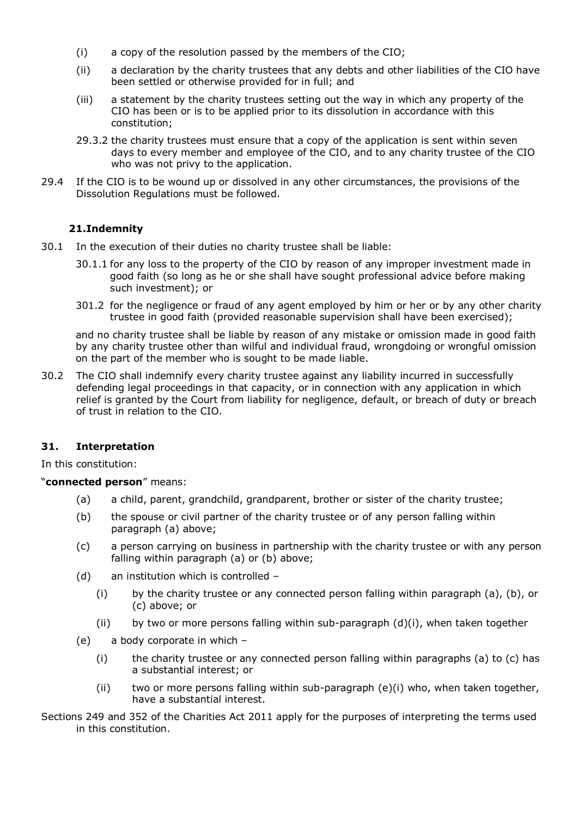- (i) a copy of the resolution passed by the members of the CIO;
- (ii) a declaration by the charity trustees that any debts and other liabilities of the CIO have been settled or otherwise provided for in full; and
- (iii) a statement by the charity trustees setting out the way in which any property of the CIO has been or is to be applied prior to its dissolution in accordance with this constitution;
- 29.3.2 the charity trustees must ensure that a copy of the application is sent within seven days to every member and employee of the CIO, and to any charity trustee of the CIO who was not privy to the application.
- 29.4 If the CIO is to be wound up or dissolved in any other circumstances, the provisions of the Dissolution Regulations must be followed.

# **21.Indemnity**

- 30.1 In the execution of their duties no charity trustee shall be liable:
	- 30.1.1 for any loss to the property of the CIO by reason of any improper investment made in good faith (so long as he or she shall have sought professional advice before making such investment); or
	- 301.2 for the negligence or fraud of any agent employed by him or her or by any other charity trustee in good faith (provided reasonable supervision shall have been exercised);

and no charity trustee shall be liable by reason of any mistake or omission made in good faith by any charity trustee other than wilful and individual fraud, wrongdoing or wrongful omission on the part of the member who is sought to be made liable.

30.2 The CIO shall indemnify every charity trustee against any liability incurred in successfully defending legal proceedings in that capacity, or in connection with any application in which relief is granted by the Court from liability for negligence, default, or breach of duty or breach of trust in relation to the CIO.

# **31. Interpretation**

In this constitution:

# "**connected person**" means:

- (a) a child, parent, grandchild, grandparent, brother or sister of the charity trustee;
- (b) the spouse or civil partner of the charity trustee or of any person falling within paragraph (a) above;
- (c) a person carrying on business in partnership with the charity trustee or with any person falling within paragraph (a) or (b) above;
- (d) an institution which is controlled
	- (i) by the charity trustee or any connected person falling within paragraph (a), (b), or (c) above; or
	- (ii) by two or more persons falling within sub-paragraph  $(d)(i)$ , when taken together
- (e) a body corporate in which
	- (i) the charity trustee or any connected person falling within paragraphs (a) to (c) has a substantial interest; or
	- (ii) two or more persons falling within sub-paragraph (e)(i) who, when taken together, have a substantial interest.
- Sections 249 and 352 of the Charities Act 2011 apply for the purposes of interpreting the terms used in this constitution.